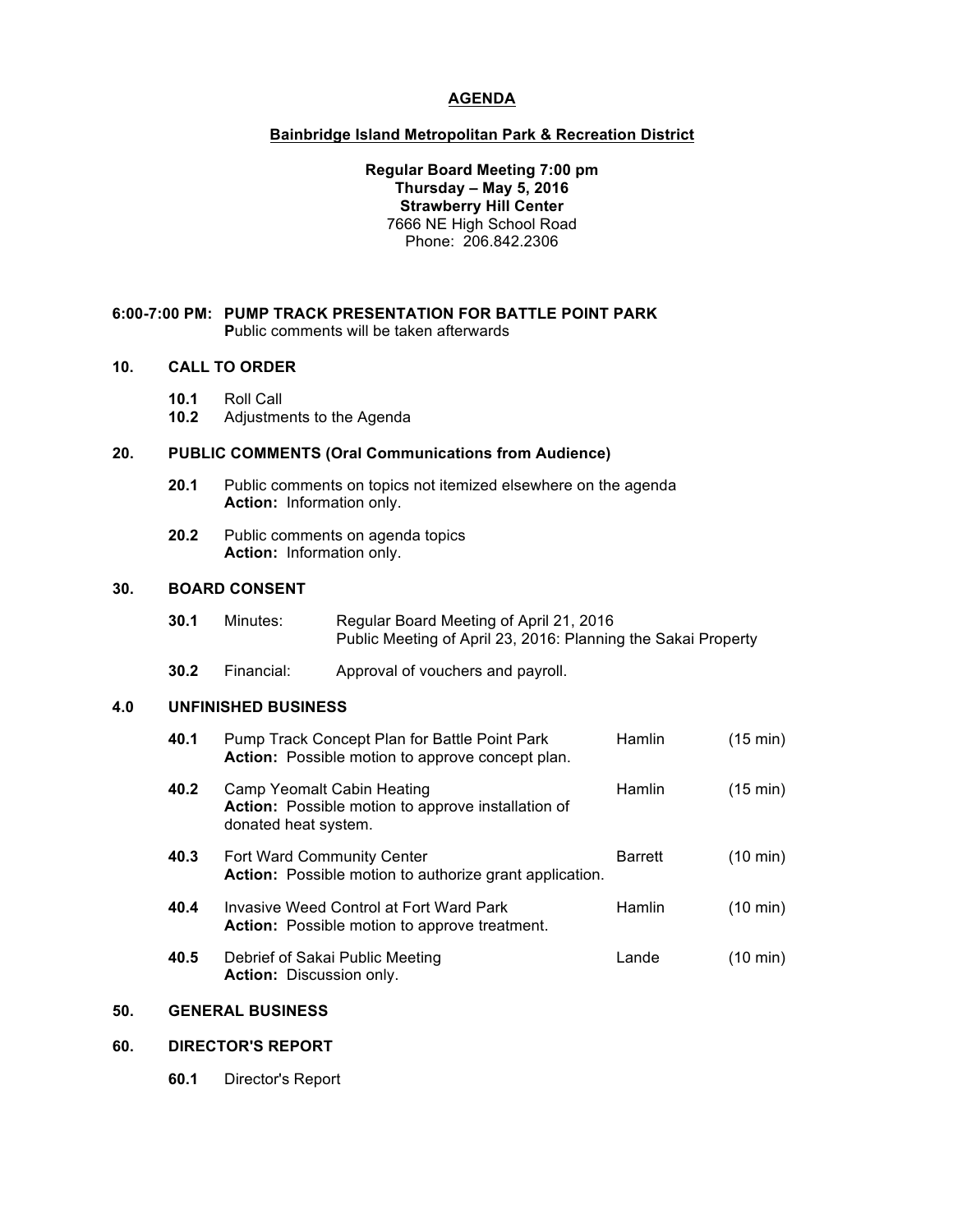# **AGENDA**

## **Bainbridge Island Metropolitan Park & Recreation District**

## **Regular Board Meeting 7:00 pm Thursday – May 5, 2016 Strawberry Hill Center** 7666 NE High School Road Phone: 206.842.2306

### **6:00-7:00 PM: PUMP TRACK PRESENTATION FOR BATTLE POINT PARK P**ublic comments will be taken afterwards

### **10. CALL TO ORDER**

- **10.1** Roll Call
- **10.2** Adjustments to the Agenda

# **20. PUBLIC COMMENTS (Oral Communications from Audience)**

- **20.1** Public comments on topics not itemized elsewhere on the agenda **Action:** Information only.
- **20.2** Public comments on agenda topics **Action:** Information only.

#### **30. BOARD CONSENT**

- **30.1** Minutes: Regular Board Meeting of April 21, 2016 Public Meeting of April 23, 2016: Planning the Sakai Property
- **30.2** Financial: Approval of vouchers and payroll.

#### **4.0 UNFINISHED BUSINESS**

| 40.1 | Pump Track Concept Plan for Battle Point Park           | <b>Hamlin</b> | $(15 \text{ min})$ |
|------|---------------------------------------------------------|---------------|--------------------|
|      | <b>Action:</b> Possible motion to approve concept plan. |               |                    |
|      |                                                         |               |                    |

- **40.2** Camp Yeomalt Cabin Heating **Hamlin** (15 min) **Action:** Possible motion to approve installation of donated heat system.
- **40.3** Fort Ward Community Center **Barrett** (10 min) **Action:** Possible motion to authorize grant application.
- **40.4** Invasive Weed Control at Fort Ward Park Hamlin (10 min) **Action:** Possible motion to approve treatment.
- **40.5** Debrief of Sakai Public Meeting Lande Lande (10 min) **Action:** Discussion only.

# **50. GENERAL BUSINESS**

#### **60. DIRECTOR'S REPORT**

**60.1** Director's Report